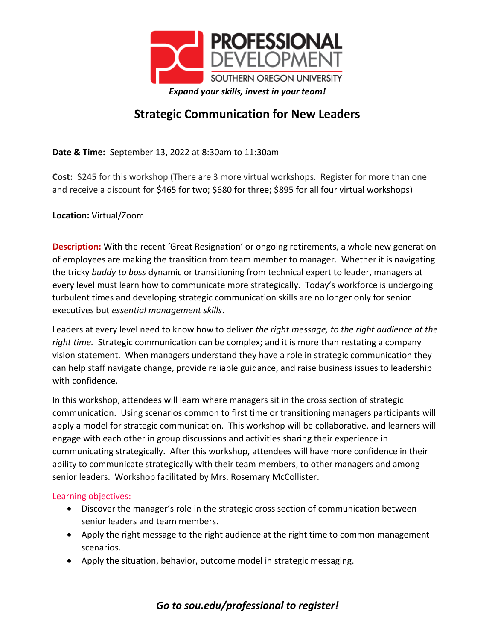

## **Strategic Communication for New Leaders**

**Date & Time:** September 13, 2022 at 8:30am to 11:30am

**Cost:** \$245 for this workshop (There are 3 more virtual workshops. Register for more than one and receive a discount for \$465 for two; \$680 for three; \$895 for all four virtual workshops)

## **Location:** Virtual/Zoom

**Description:** With the recent 'Great Resignation' or ongoing retirements, a whole new generation of employees are making the transition from team member to manager. Whether it is navigating the tricky *buddy to boss* dynamic or transitioning from technical expert to leader, managers at every level must learn how to communicate more strategically. Today's workforce is undergoing turbulent times and developing strategic communication skills are no longer only for senior executives but *essential management skills*.

Leaders at every level need to know how to deliver *the right message, to the right audience at the right time.* Strategic communication can be complex; and it is more than restating a company vision statement. When managers understand they have a role in strategic communication they can help staff navigate change, provide reliable guidance, and raise business issues to leadership with confidence.

In this workshop, attendees will learn where managers sit in the cross section of strategic communication. Using scenarios common to first time or transitioning managers participants will apply a model for strategic communication. This workshop will be collaborative, and learners will engage with each other in group discussions and activities sharing their experience in communicating strategically. After this workshop, attendees will have more confidence in their ability to communicate strategically with their team members, to other managers and among senior leaders. Workshop facilitated by Mrs. Rosemary McCollister.

## Learning objectives:

- Discover the manager's role in the strategic cross section of communication between senior leaders and team members.
- Apply the right message to the right audience at the right time to common management scenarios.
- Apply the situation, behavior, outcome model in strategic messaging.

## *Go to sou.edu/professional to register!*